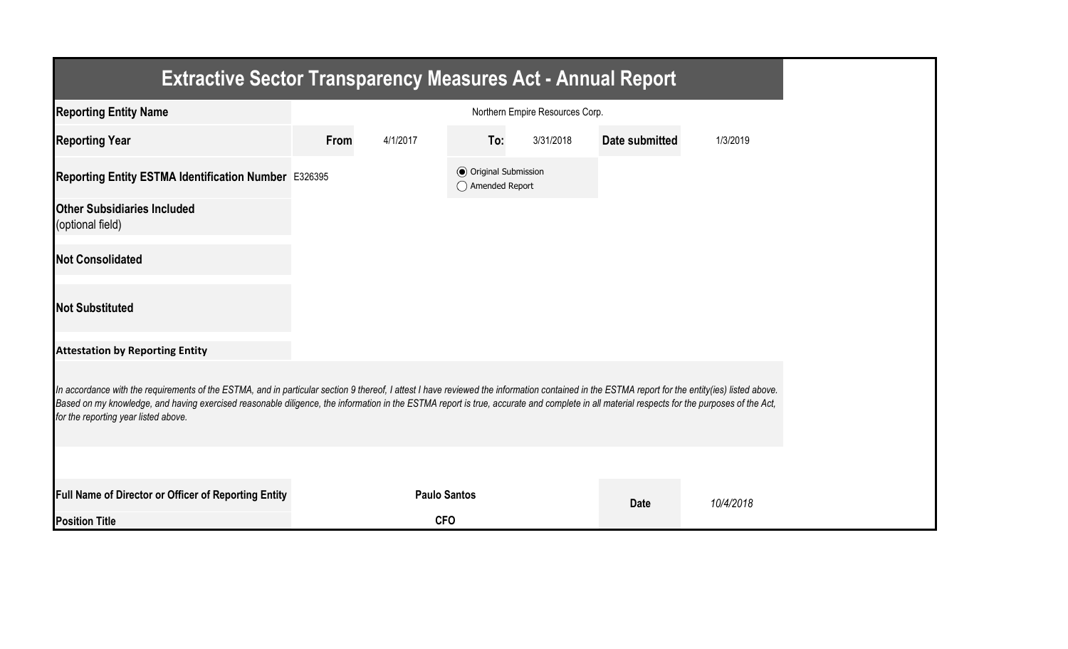| <b>Extractive Sector Transparency Measures Act - Annual Report</b>                                                                                                                                                                                                                                                                                                                                                                    |      |                     |                                                  |                                 |                       |           |  |
|---------------------------------------------------------------------------------------------------------------------------------------------------------------------------------------------------------------------------------------------------------------------------------------------------------------------------------------------------------------------------------------------------------------------------------------|------|---------------------|--------------------------------------------------|---------------------------------|-----------------------|-----------|--|
| <b>Reporting Entity Name</b>                                                                                                                                                                                                                                                                                                                                                                                                          |      |                     |                                                  | Northern Empire Resources Corp. |                       |           |  |
| <b>Reporting Year</b>                                                                                                                                                                                                                                                                                                                                                                                                                 | From | 4/1/2017            | To:                                              | 3/31/2018                       | <b>Date submitted</b> | 1/3/2019  |  |
| Reporting Entity ESTMA Identification Number E326395                                                                                                                                                                                                                                                                                                                                                                                  |      |                     | <b>◎</b> Original Submission<br>◯ Amended Report |                                 |                       |           |  |
| <b>Other Subsidiaries Included</b><br>(optional field)                                                                                                                                                                                                                                                                                                                                                                                |      |                     |                                                  |                                 |                       |           |  |
| <b>Not Consolidated</b>                                                                                                                                                                                                                                                                                                                                                                                                               |      |                     |                                                  |                                 |                       |           |  |
| <b>Not Substituted</b>                                                                                                                                                                                                                                                                                                                                                                                                                |      |                     |                                                  |                                 |                       |           |  |
| <b>Attestation by Reporting Entity</b>                                                                                                                                                                                                                                                                                                                                                                                                |      |                     |                                                  |                                 |                       |           |  |
| In accordance with the requirements of the ESTMA, and in particular section 9 thereof, I attest I have reviewed the information contained in the ESTMA report for the entity(ies) listed above.<br>Based on my knowledge, and having exercised reasonable diligence, the information in the ESTMA report is true, accurate and complete in all material respects for the purposes of the Act,<br>for the reporting year listed above. |      |                     |                                                  |                                 |                       |           |  |
|                                                                                                                                                                                                                                                                                                                                                                                                                                       |      |                     |                                                  |                                 |                       |           |  |
| Full Name of Director or Officer of Reporting Entity                                                                                                                                                                                                                                                                                                                                                                                  |      | <b>Paulo Santos</b> |                                                  |                                 | <b>Date</b>           | 10/4/2018 |  |
| <b>Position Title</b>                                                                                                                                                                                                                                                                                                                                                                                                                 |      | <b>CFO</b>          |                                                  |                                 |                       |           |  |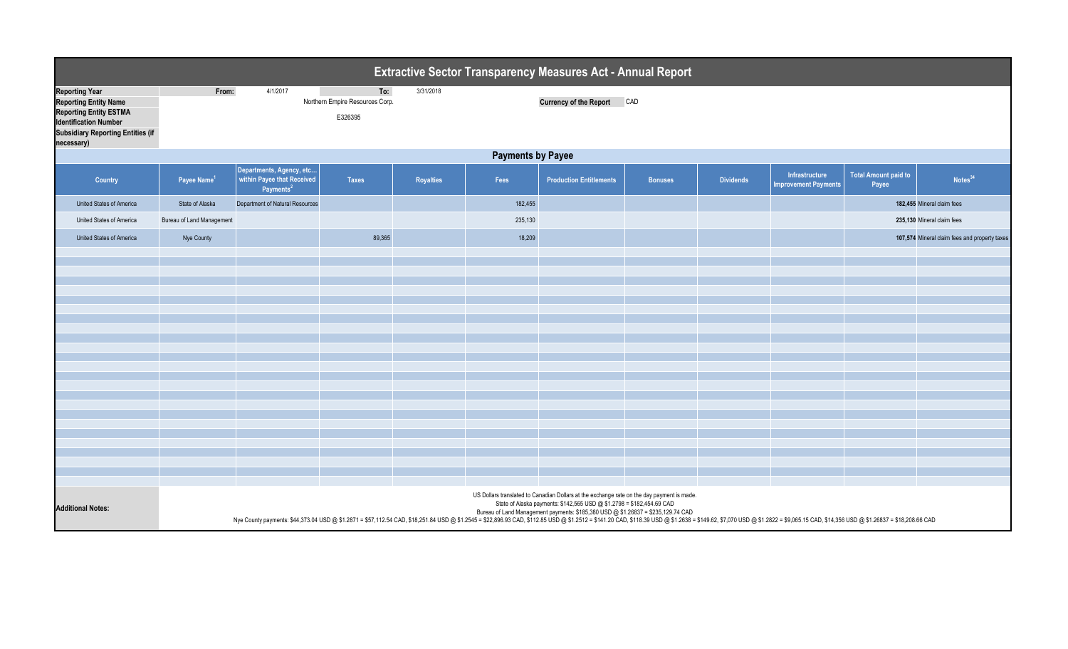| <b>Extractive Sector Transparency Measures Act - Annual Report</b>                                                                                                               |                                                                                                                                                                                                                                                                                                                                                                                                                                                                                                           |                                                                                 |                                                   |                  |         |                                |                |                  |                                               |                                      |                                               |  |
|----------------------------------------------------------------------------------------------------------------------------------------------------------------------------------|-----------------------------------------------------------------------------------------------------------------------------------------------------------------------------------------------------------------------------------------------------------------------------------------------------------------------------------------------------------------------------------------------------------------------------------------------------------------------------------------------------------|---------------------------------------------------------------------------------|---------------------------------------------------|------------------|---------|--------------------------------|----------------|------------------|-----------------------------------------------|--------------------------------------|-----------------------------------------------|--|
| <b>Reporting Year</b><br><b>Reporting Entity Name</b><br><b>Reporting Entity ESTMA</b><br><b>Identification Number</b><br><b>Subsidiary Reporting Entities (if</b><br>necessary) | From:                                                                                                                                                                                                                                                                                                                                                                                                                                                                                                     | 4/1/2017                                                                        | To:<br>Northern Empire Resources Corp.<br>E326395 | 3/31/2018        |         | <b>Currency of the Report</b>  | CAD            |                  |                                               |                                      |                                               |  |
|                                                                                                                                                                                  | <b>Payments by Payee</b>                                                                                                                                                                                                                                                                                                                                                                                                                                                                                  |                                                                                 |                                                   |                  |         |                                |                |                  |                                               |                                      |                                               |  |
| Country                                                                                                                                                                          | Payee Name <sup>1</sup>                                                                                                                                                                                                                                                                                                                                                                                                                                                                                   | Departments, Agency, etc<br>within Payee that Received<br>Payments <sup>2</sup> | <b>Taxes</b>                                      | <b>Royalties</b> | Fees    | <b>Production Entitlements</b> | <b>Bonuses</b> | <b>Dividends</b> | Infrastructure<br><b>Improvement Payments</b> | <b>Total Amount paid to</b><br>Payee | Notes <sup>34</sup>                           |  |
| United States of America                                                                                                                                                         | State of Alaska                                                                                                                                                                                                                                                                                                                                                                                                                                                                                           | Department of Natural Resources                                                 |                                                   |                  | 182,455 |                                |                |                  |                                               |                                      | 182,455 Mineral claim fees                    |  |
| United States of America                                                                                                                                                         | Bureau of Land Management                                                                                                                                                                                                                                                                                                                                                                                                                                                                                 |                                                                                 |                                                   |                  | 235,130 |                                |                |                  |                                               |                                      | 235,130 Mineral claim fees                    |  |
| United States of America                                                                                                                                                         | Nye County                                                                                                                                                                                                                                                                                                                                                                                                                                                                                                |                                                                                 | 89,365                                            |                  | 18,209  |                                |                |                  |                                               |                                      | 107,574 Mineral claim fees and property taxes |  |
|                                                                                                                                                                                  |                                                                                                                                                                                                                                                                                                                                                                                                                                                                                                           |                                                                                 |                                                   |                  |         |                                |                |                  |                                               |                                      |                                               |  |
|                                                                                                                                                                                  |                                                                                                                                                                                                                                                                                                                                                                                                                                                                                                           |                                                                                 |                                                   |                  |         |                                |                |                  |                                               |                                      |                                               |  |
|                                                                                                                                                                                  |                                                                                                                                                                                                                                                                                                                                                                                                                                                                                                           |                                                                                 |                                                   |                  |         |                                |                |                  |                                               |                                      |                                               |  |
|                                                                                                                                                                                  |                                                                                                                                                                                                                                                                                                                                                                                                                                                                                                           |                                                                                 |                                                   |                  |         |                                |                |                  |                                               |                                      |                                               |  |
|                                                                                                                                                                                  |                                                                                                                                                                                                                                                                                                                                                                                                                                                                                                           |                                                                                 |                                                   |                  |         |                                |                |                  |                                               |                                      |                                               |  |
|                                                                                                                                                                                  |                                                                                                                                                                                                                                                                                                                                                                                                                                                                                                           |                                                                                 |                                                   |                  |         |                                |                |                  |                                               |                                      |                                               |  |
|                                                                                                                                                                                  |                                                                                                                                                                                                                                                                                                                                                                                                                                                                                                           |                                                                                 |                                                   |                  |         |                                |                |                  |                                               |                                      |                                               |  |
|                                                                                                                                                                                  |                                                                                                                                                                                                                                                                                                                                                                                                                                                                                                           |                                                                                 |                                                   |                  |         |                                |                |                  |                                               |                                      |                                               |  |
|                                                                                                                                                                                  |                                                                                                                                                                                                                                                                                                                                                                                                                                                                                                           |                                                                                 |                                                   |                  |         |                                |                |                  |                                               |                                      |                                               |  |
|                                                                                                                                                                                  |                                                                                                                                                                                                                                                                                                                                                                                                                                                                                                           |                                                                                 |                                                   |                  |         |                                |                |                  |                                               |                                      |                                               |  |
|                                                                                                                                                                                  |                                                                                                                                                                                                                                                                                                                                                                                                                                                                                                           |                                                                                 |                                                   |                  |         |                                |                |                  |                                               |                                      |                                               |  |
|                                                                                                                                                                                  |                                                                                                                                                                                                                                                                                                                                                                                                                                                                                                           |                                                                                 |                                                   |                  |         |                                |                |                  |                                               |                                      |                                               |  |
|                                                                                                                                                                                  |                                                                                                                                                                                                                                                                                                                                                                                                                                                                                                           |                                                                                 |                                                   |                  |         |                                |                |                  |                                               |                                      |                                               |  |
|                                                                                                                                                                                  |                                                                                                                                                                                                                                                                                                                                                                                                                                                                                                           |                                                                                 |                                                   |                  |         |                                |                |                  |                                               |                                      |                                               |  |
|                                                                                                                                                                                  |                                                                                                                                                                                                                                                                                                                                                                                                                                                                                                           |                                                                                 |                                                   |                  |         |                                |                |                  |                                               |                                      |                                               |  |
|                                                                                                                                                                                  |                                                                                                                                                                                                                                                                                                                                                                                                                                                                                                           |                                                                                 |                                                   |                  |         |                                |                |                  |                                               |                                      |                                               |  |
| <b>Additional Notes:</b>                                                                                                                                                         | US Dollars translated to Canadian Dollars at the exchange rate on the day payment is made.<br>State of Alaska payments: \$142,565 USD @ \$1.2798 = \$182,454.69 CAD<br>Bureau of Land Management payments: \$185,380 USD @ \$1.26837 = \$235,129.74 CAD<br>Nye County payments: \$44,373.04 USD @ \$1.26837 = \$57,112.54 CAD, \$18,251.84 USD @ \$1.2545 = \$22,896.93 CAD, \$112.85 USD @ \$1.2512 = \$14.20 CAD, \$112.830 USD @ \$1.2638 = \$149.62, \$7,070 USD @ \$1.2622 = \$9,065.15 CAD, \$14,35 |                                                                                 |                                                   |                  |         |                                |                |                  |                                               |                                      |                                               |  |